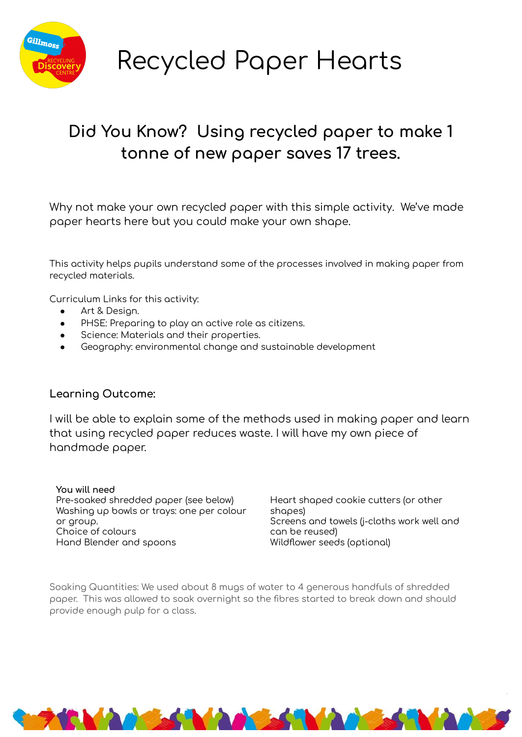

Recycled Paper Hearts

## Did You Know? Using recycled paper to make 1 **tonne oÿ new paper saves 17 trees.**

Why not make your own recycled paper with this simple activity. We've made paper hearts here but you could make your own shape.

This activity helps pupils understand some of the processes involved in making paper from recycled materials.

Curriculum Links for this activity:

- Art & Design.
- PHSE: Preparing to play an active role as citizens.
- Science: Materials and their properties.
- Geography: environmental change and sustainable development

## **Learning Outcome:**

I will be able to explain some of the methods used in making paper and learn that using recycled paper reduces waste. I will have my own piece of handmade paper.

**You will need** Pre-soaked shredded paper (see below) Washing up bowls or trays: one per colour or group. Choice of colours Hand Blender and spoons

Heart shaped cookie cutters (or other shapes) Screens and towels (j-cloths work well and can be reused) Wildflower seeds (optional)

Soaking Quantities: We used about 8 mugs of water to 4 generous handfuls of shredded paper. This was allowed to soak overnight so the fibres started to break down and should provide enough pulp for a class.

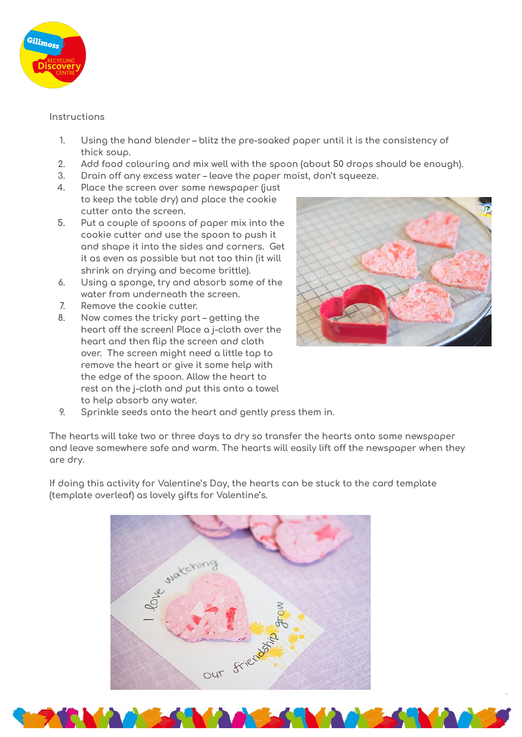

## Instructions

- $1.$ Using the hand blender - blitz the pre-soaked paper until it is the consistency of thick soup.
- $2.$ Add food colouring and mix well with the spoon (about 50 drops should be enough).
- $3.$ Drain off any excess water - leave the paper moist, don't squeeze.
- $\overline{4}$ . Place the screen over some newspaper (just to keep the table dry) and place the cookie cutter onto the screen.
- 5. Put a couple of spoons of paper mix into the cookie cutter and use the spoon to push it and shape it into the sides and corners. Get it as even as possible but not too thin (it will shrink on drying and become brittle).
- $6.$ Using a sponge, try and absorb some of the water from underneath the screen.
- $7.$ Remove the cookie cutter.
- 8. Now comes the tricky part - getting the heart off the screen! Place a j-cloth over the heart and then flip the screen and cloth over. The screen might need a little tap to remove the heart or give it some help with the edge of the spoon. Allow the heart to rest on the j-cloth and put this onto a towel to help absorb any water.



9. Sprinkle seeds onto the heart and gently press them in.

The hearts will take two or three days to dry so transfer the hearts onto some newspaper and leave somewhere safe and warm. The hearts will easily lift off the newspaper when they are drv.

If doing this activity for Valentine's Day, the hearts can be stuck to the card template (template overleaf) as lovely gifts for Valentine's.